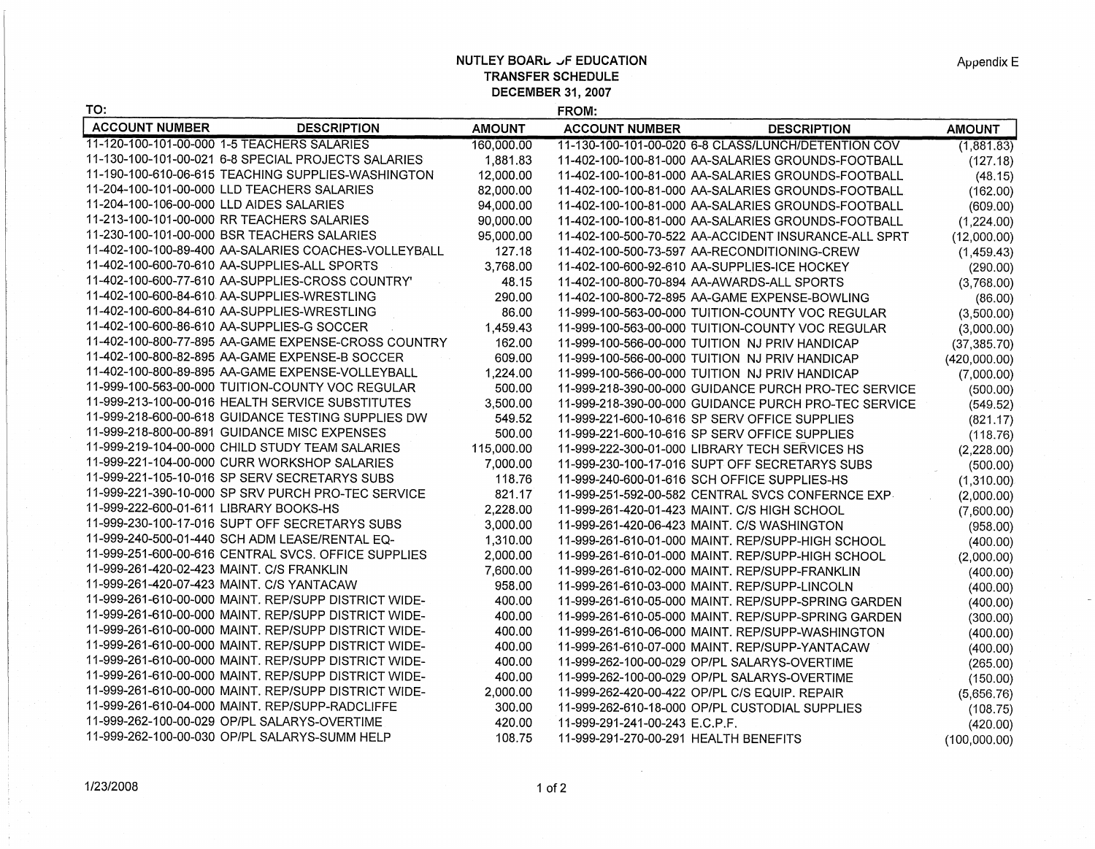## **NUTLEY BOARL JF EDUCATION TRANSFER SCHEDULE DECEMBER 31, 2007**

| TO:                                       |                                                      |               | FROM:                                 |                                                      |               |
|-------------------------------------------|------------------------------------------------------|---------------|---------------------------------------|------------------------------------------------------|---------------|
| <b>ACCOUNT NUMBER</b>                     | <b>DESCRIPTION</b>                                   | <b>AMOUNT</b> | <b>ACCOUNT NUMBER</b>                 | <b>DESCRIPTION</b>                                   | <b>AMOUNT</b> |
|                                           | 11-120-100-101-00-000 1-5 TEACHERS SALARIES          | 160,000.00    |                                       | 11-130-100-101-00-020 6-8 CLASS/LUNCH/DETENTION COV  | (1,881.83)    |
|                                           | 11-130-100-101-00-021 6-8 SPECIAL PROJECTS SALARIES  | 1,881.83      |                                       | 11-402-100-100-81-000 AA-SALARIES GROUNDS-FOOTBALL   | (127.18)      |
|                                           | 11-190-100-610-06-615 TEACHING SUPPLIES-WASHINGTON   | 12,000.00     |                                       | 11-402-100-100-81-000 AA-SALARIES GROUNDS-FOOTBALL   | (48.15)       |
|                                           | 11-204-100-101-00-000 LLD TEACHERS SALARIES          | 82,000.00     |                                       | 11-402-100-100-81-000 AA-SALARIES GROUNDS-FOOTBALL   | (162.00)      |
| 11-204-100-106-00-000 LLD AIDES SALARIES  |                                                      | 94,000.00     |                                       | 11-402-100-100-81-000 AA-SALARIES GROUNDS-FOOTBALL   | (609.00)      |
|                                           | 11-213-100-101-00-000 RR TEACHERS SALARIES           | 90,000.00     |                                       | 11-402-100-100-81-000_AA-SALARIES GROUNDS-FOOTBALL   | (1,224.00)    |
|                                           | 11-230-100-101-00-000 BSR TEACHERS SALARIES          | 95,000.00     |                                       | 11-402-100-500-70-522 AA-ACCIDENT INSURANCE-ALL SPRT | (12,000.00)   |
|                                           | 11-402-100-100-89-400 AA-SALARIES COACHES-VOLLEYBALL | 127.18        |                                       | 11-402-100-500-73-597 AA-RECONDITIONING-CREW         | (1,459.43)    |
|                                           | 11-402-100-600-70-610 AA-SUPPLIES-ALL SPORTS         | 3,768.00      |                                       | 11-402-100-600-92-610 AA-SUPPLIES-ICE HOCKEY         | (290.00)      |
|                                           | 11-402-100-600-77-610 AA-SUPPLIES-CROSS COUNTRY'     | 48.15         |                                       | 11-402-100-800-70-894 AA-AWARDS-ALL SPORTS           | (3,768.00)    |
|                                           | 11-402-100-600-84-610 AA-SUPPLIES-WRESTLING          | 290.00        |                                       | 11-402-100-800-72-895 AA-GAME EXPENSE-BOWLING        | (86.00)       |
|                                           | 11-402-100-600-84-610 AA-SUPPLIES-WRESTLING          | 86.00         |                                       | 11-999-100-563-00-000 TUITION-COUNTY VOC REGULAR     | (3,500.00)    |
|                                           | 11-402-100-600-86-610 AA-SUPPLIES-G SOCCER           | 1,459.43      |                                       | 11-999-100-563-00-000 TUITION-COUNTY VOC REGULAR     | (3,000.00)    |
|                                           | 11-402-100-800-77-895 AA-GAME EXPENSE-CROSS COUNTRY  | 162.00        |                                       | 11-999-100-566-00-000 TUITION NJ PRIV HANDICAP       | (37, 385.70)  |
|                                           | 11-402-100-800-82-895 AA-GAME EXPENSE-B SOCCER       | 609.00        |                                       | 11-999-100-566-00-000 TUITION NJ PRIV HANDICAP       | (420,000.00)  |
|                                           | 11-402-100-800-89-895 AA-GAME EXPENSE-VOLLEYBALL     | 1,224.00      |                                       | 11-999-100-566-00-000 TUITION NJ PRIV HANDICAP       | (7,000.00)    |
|                                           | 11-999-100-563-00-000 TUITION-COUNTY VOC REGULAR     | 500.00        |                                       | 11-999-218-390-00-000 GUIDANCE PURCH PRO-TEC SERVICE | (500.00)      |
|                                           | 11-999-213-100-00-016 HEALTH SERVICE SUBSTITUTES     | 3,500.00      |                                       | 11-999-218-390-00-000 GUIDANCE PURCH PRO-TEC SERVICE | (549.52)      |
|                                           | 11-999-218-600-00-618 GUIDANCE TESTING SUPPLIES DW   | 549.52        |                                       | 11-999-221-600-10-616 SP SERV OFFICE SUPPLIES        | (821.17)      |
|                                           | 11-999-218-800-00-891 GUIDANCE MISC EXPENSES         | 500.00        |                                       | 11-999-221-600-10-616 SP SERV OFFICE SUPPLIES        | (118.76)      |
|                                           | 11-999-219-104-00-000 CHILD STUDY TEAM SALARIES      | 115,000.00    |                                       | 11-999-222-300-01-000 LIBRARY TECH SERVICES HS       | (2,228.00)    |
|                                           | 11-999-221-104-00-000 CURR WORKSHOP SALARIES         | 7,000.00      |                                       | 11-999-230-100-17-016 SUPT OFF SECRETARYS SUBS       | (500.00)      |
|                                           | 11-999-221-105-10-016 SP SERV SECRETARYS SUBS        | 118.76        |                                       | 11-999-240-600-01-616 SCH OFFICE SUPPLIES-HS         | (1,310.00)    |
|                                           | 11-999-221-390-10-000 SP SRV PURCH PRO-TEC SERVICE   | 821.17        |                                       | 11-999-251-592-00-582 CENTRAL SVCS CONFERNCE EXP     | (2,000.00)    |
| 11-999-222-600-01-611 LIBRARY BOOKS-HS    |                                                      | 2,228.00      |                                       | 11-999-261-420-01-423 MAINT. C/S HIGH SCHOOL         | (7,600.00)    |
|                                           | 11-999-230-100-17-016 SUPT OFF SECRETARYS SUBS       | 3,000.00      |                                       | 11-999-261-420-06-423 MAINT. C/S WASHINGTON          | (958.00)      |
|                                           | 11-999-240-500-01-440 SCH ADM LEASE/RENTAL EQ-       | 1,310.00      |                                       | 11-999-261-610-01-000 MAINT. REP/SUPP-HIGH SCHOOL    | (400.00)      |
|                                           | 11-999-251-600-00-616 CENTRAL SVCS. OFFICE SUPPLIES  | 2,000.00      |                                       | 11-999-261-610-01-000 MAINT. REP/SUPP-HIGH SCHOOL    | (2,000.00)    |
| 11-999-261-420-02-423 MAINT. C/S FRANKLIN |                                                      | 7,600.00      |                                       | 11-999-261-610-02-000 MAINT. REP/SUPP-FRANKLIN       | (400.00)      |
| 11-999-261-420-07-423 MAINT. C/S YANTACAW |                                                      | 958.00        |                                       | 11-999-261-610-03-000 MAINT. REP/SUPP-LINCOLN        | (400.00)      |
|                                           | 11-999-261-610-00-000 MAINT. REP/SUPP DISTRICT WIDE- | 400.00        |                                       | 11-999-261-610-05-000 MAINT. REP/SUPP-SPRING GARDEN  | (400.00)      |
|                                           | 11-999-261-610-00-000 MAINT. REP/SUPP DISTRICT WIDE- | 400.00        |                                       | 11-999-261-610-05-000 MAINT. REP/SUPP-SPRING GARDEN  | (300.00)      |
|                                           | 11-999-261-610-00-000 MAINT. REP/SUPP DISTRICT WIDE- | 400.00        |                                       | 11-999-261-610-06-000 MAINT. REP/SUPP-WASHINGTON     | (400.00)      |
|                                           | 11-999-261-610-00-000 MAINT. REP/SUPP DISTRICT WIDE- | 400.00        |                                       | 11-999-261-610-07-000 MAINT. REP/SUPP-YANTACAW       | (400.00)      |
|                                           | 11-999-261-610-00-000 MAINT. REP/SUPP DISTRICT WIDE- | 400.00        |                                       | 11-999-262-100-00-029 OP/PL SALARYS-OVERTIME         | (265.00)      |
|                                           | 11-999-261-610-00-000 MAINT. REP/SUPP DISTRICT WIDE- | 400.00        |                                       | 11-999-262-100-00-029 OP/PL SALARYS-OVERTIME         | (150.00)      |
|                                           | 11-999-261-610-00-000 MAINT. REP/SUPP DISTRICT WIDE- | 2.000.00      |                                       | 11-999-262-420-00-422 OP/PL C/S EQUIP. REPAIR        | (5,656.76)    |
|                                           | 11-999-261-610-04-000 MAINT, REP/SUPP-RADCLIFFE      | 300.00        |                                       | 11-999-262-610-18-000 OP/PL CUSTODIAL SUPPLIES       | (108.75)      |
|                                           | 11-999-262-100-00-029 OP/PL SALARYS-OVERTIME         | 420.00        | 11-999-291-241-00-243 E.C.P.F.        |                                                      | (420.00)      |
|                                           | 11-999-262-100-00-030 OP/PL SALARYS-SUMM HELP        | 108.75        | 11-999-291-270-00-291 HEALTH BENEFITS |                                                      | (100,000.00)  |
|                                           |                                                      |               |                                       |                                                      |               |